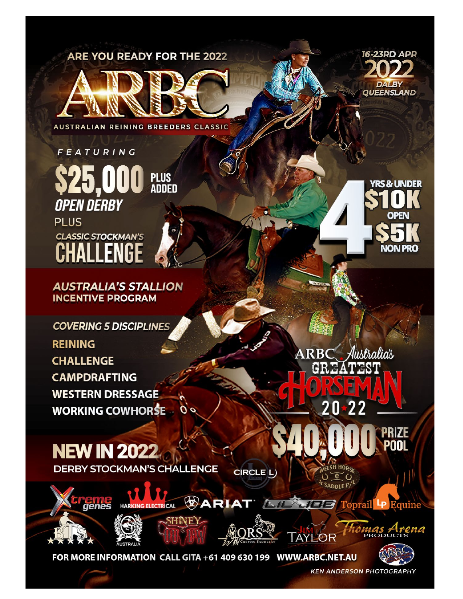**ARE YOU READY FOR THE 2022** 



**AUSTRALIAN REINING BREEDERS CLASSIC** 

FEATURING **PLUS<br>ADDED OPEN DERBY PLUS CLASSIC STOCKMAN'S** 

**AUSTRALIA'S STALLION INCENTIVE PROGRAM** 

**COVERING 5 DISCIPLINES** 

**REINING CHALLENGE CAMPDRAFTING WESTERN DRESSAGE WORKING COWHORSE** 

**NEW IN 2022 DERBY STOCKMAN'S CHALLENGE** 

CIRCLE L)







*ARIAT* 

FOR MORE INFORMATION CALL GITA +61 409 630 199 WWW.ARBC.NET.AU



**ARB** Justralias GR.





rena

**ZE** 

**KEN ANDERSON PHOTOGRAPHY** 

**TAYLOR**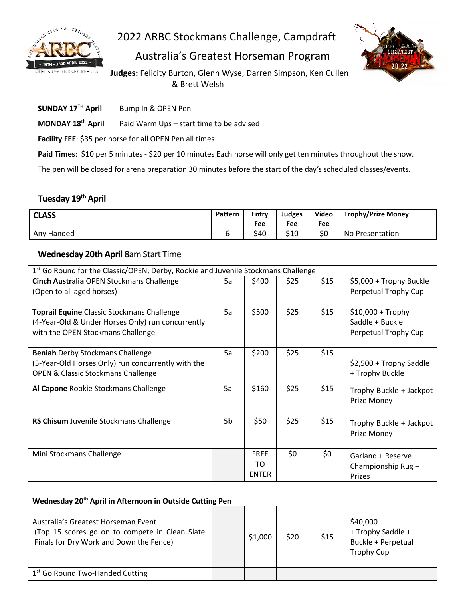

2022 ARBC Stockmans Challenge, Campdraft

Australia's Greatest Horseman Program



**Judges:** Felicity Burton, Glenn Wyse, Darren Simpson, Ken Cullen & Brett Welsh

**SUNDAY 17TH April** Bump In & OPEN Pen

**MONDAY 18th April** Paid Warm Ups – start time to be advised

**Facility FEE**: \$35 per horse for all OPEN Pen all times

Paid Times: \$10 per 5 minutes - \$20 per 10 minutes Each horse will only get ten minutes throughout the show.

The pen will be closed for arena preparation 30 minutes before the start of the day's scheduled classes/events.

# **Tuesday 19th April**

| <b>CLASS</b> | Pattern | Entry<br>Fee | Judges<br>Fee | Video<br>Fee | <b>Trophy/Prize Money</b> |
|--------------|---------|--------------|---------------|--------------|---------------------------|
| Any Handed   |         | \$40         | \$10          | \$0          | No Presentation           |

### **Wednesday 20th April** 8am Start Time

| 1 <sup>st</sup> Go Round for the Classic/OPEN, Derby, Rookie and Juvenile Stockmans Challenge                                                  |    |                                   |      |      |                                                               |
|------------------------------------------------------------------------------------------------------------------------------------------------|----|-----------------------------------|------|------|---------------------------------------------------------------|
| Cinch Australia OPEN Stockmans Challenge<br>(Open to all aged horses)                                                                          | 5a | \$400                             | \$25 | \$15 | \$5,000 + Trophy Buckle<br>Perpetual Trophy Cup               |
| <b>Toprail Equine Classic Stockmans Challenge</b><br>(4-Year-Old & Under Horses Only) run concurrently<br>with the OPEN Stockmans Challenge    | 5a | \$500                             | \$25 | \$15 | $$10,000 + Trophy$<br>Saddle + Buckle<br>Perpetual Trophy Cup |
| <b>Beniah Derby Stockmans Challenge</b><br>(5-Year-Old Horses Only) run concurrently with the<br><b>OPEN &amp; Classic Stockmans Challenge</b> | 5a | \$200                             | \$25 | \$15 | \$2,500 + Trophy Saddle<br>+ Trophy Buckle                    |
| Al Capone Rookie Stockmans Challenge                                                                                                           | 5a | \$160                             | \$25 | \$15 | Trophy Buckle + Jackpot<br>Prize Money                        |
| RS Chisum Juvenile Stockmans Challenge                                                                                                         | 5b | \$50                              | \$25 | \$15 | Trophy Buckle + Jackpot<br>Prize Money                        |
| Mini Stockmans Challenge                                                                                                                       |    | <b>FREE</b><br>TO<br><b>ENTER</b> | \$0  | \$0  | Garland + Reserve<br>Championship Rug +<br>Prizes             |

### **Wednesday 20th April in Afternoon in Outside Cutting Pen**

| Australia's Greatest Horseman Event<br>(Top 15 scores go on to compete in Clean Slate<br>Finals for Dry Work and Down the Fence) | \$1,000 | \$20 | \$15 | \$40,000<br>+ Trophy Saddle +<br>Buckle + Perpetual<br><b>Trophy Cup</b> |
|----------------------------------------------------------------------------------------------------------------------------------|---------|------|------|--------------------------------------------------------------------------|
| 1 <sup>st</sup> Go Round Two-Handed Cutting                                                                                      |         |      |      |                                                                          |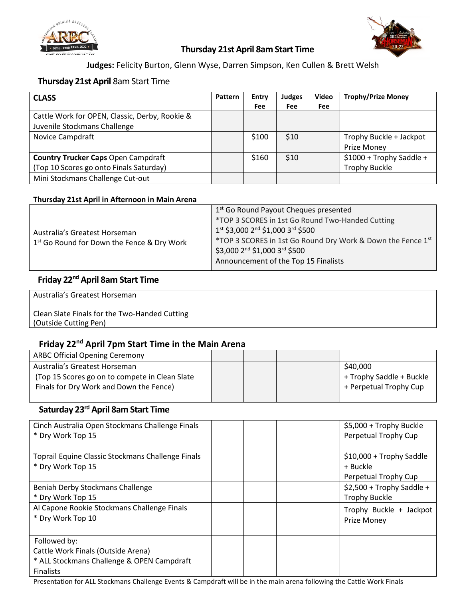



### **Thursday 21st April 8am Start Time**

**Judges:** Felicity Burton, Glenn Wyse, Darren Simpson, Ken Cullen & Brett Welsh

### **Thursday 21st April** 8am Start Time

| <b>CLASS</b>                                   | Pattern | Entry | Judges     | Video | <b>Trophy/Prize Money</b> |
|------------------------------------------------|---------|-------|------------|-------|---------------------------|
|                                                |         | Fee   | <b>Fee</b> | Fee   |                           |
| Cattle Work for OPEN, Classic, Derby, Rookie & |         |       |            |       |                           |
| Juvenile Stockmans Challenge                   |         |       |            |       |                           |
| Novice Campdraft                               |         | \$100 | \$10       |       | Trophy Buckle + Jackpot   |
|                                                |         |       |            |       | Prize Money               |
| <b>Country Trucker Caps Open Campdraft</b>     |         | \$160 | \$10       |       | \$1000 + Trophy Saddle +  |
| (Top 10 Scores go onto Finals Saturday)        |         |       |            |       | <b>Trophy Buckle</b>      |
| Mini Stockmans Challenge Cut-out               |         |       |            |       |                           |

#### **Thursday 21st April in Afternoon in Main Arena**

| 1st \$3,000 2 <sup>nd</sup> \$1,000 3 <sup>rd</sup> \$500<br>Australia's Greatest Horseman |                                                        | 1 <sup>st</sup> Go Round Payout Cheques presented           |
|--------------------------------------------------------------------------------------------|--------------------------------------------------------|-------------------------------------------------------------|
|                                                                                            |                                                        | *TOP 3 SCORES in 1st Go Round Two-Handed Cutting            |
|                                                                                            | 1 <sup>st</sup> Go Round for Down the Fence & Dry Work | *TOP 3 SCORES in 1st Go Round Dry Work & Down the Fence 1st |
|                                                                                            |                                                        | Announcement of the Top 15 Finalists                        |

### **Friday 22nd April 8am Start Time**

Australia's Greatest Horseman

### Clean Slate Finals for the Two-Handed Cutting (Outside Cutting Pen)

## **Friday 22nd April 7pm Start Time in the Main Arena**

| <b>ARBC Official Opening Ceremony</b>           |  |  |                          |
|-------------------------------------------------|--|--|--------------------------|
| Australia's Greatest Horseman                   |  |  | \$40,000                 |
| (Top 15 Scores go on to compete in Clean Slate) |  |  | + Trophy Saddle + Buckle |
| Finals for Dry Work and Down the Fence)         |  |  | + Perpetual Trophy Cup   |
|                                                 |  |  |                          |

## **Saturday 23rd April 8am Start Time**

| Cinch Australia Open Stockmans Challenge Finals<br>* Dry Work Top 15                                                 |  |  | \$5,000 + Trophy Buckle<br>Perpetual Trophy Cup              |
|----------------------------------------------------------------------------------------------------------------------|--|--|--------------------------------------------------------------|
| Toprail Equine Classic Stockmans Challenge Finals<br>* Dry Work Top 15                                               |  |  | \$10,000 + Trophy Saddle<br>+ Buckle<br>Perpetual Trophy Cup |
| Beniah Derby Stockmans Challenge<br>* Dry Work Top 15                                                                |  |  | $$2,500 + Trophy Saddle +$<br><b>Trophy Buckle</b>           |
| Al Capone Rookie Stockmans Challenge Finals<br>* Dry Work Top 10                                                     |  |  | Trophy Buckle + Jackpot<br>Prize Money                       |
| Followed by:<br>Cattle Work Finals (Outside Arena)<br>* ALL Stockmans Challenge & OPEN Campdraft<br><b>Finalists</b> |  |  |                                                              |

Presentation for ALL Stockmans Challenge Events & Campdraft will be in the main arena following the Cattle Work Finals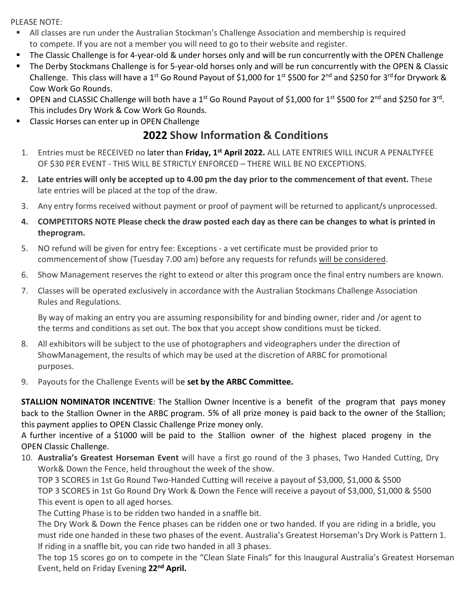PLEASE NOTE:

- All classes are run under the Australian Stockman's Challenge Association and membership is required to compete. If you are not a member you will need to go to their website and register.
- The Classic Challenge is for 4-year-old & under horses only and will be run concurrently with the OPEN Challenge
- The Derby Stockmans Challenge is for 5-year-old horses only and will be run concurrently with the OPEN & Classic Challenge. This class will have a 1<sup>st</sup> Go Round Payout of \$1,000 for 1<sup>st</sup> \$500 for 2<sup>nd</sup> and \$250 for 3<sup>rd</sup> for Drywork & Cow Work Go Rounds.
- OPEN and CLASSIC Challenge will both have a 1<sup>st</sup> Go Round Payout of \$1,000 for 1<sup>st</sup> \$500 for 2<sup>nd</sup> and \$250 for 3<sup>rd</sup>. This includes Dry Work & Cow Work Go Rounds.
- **EXECUTE:** Classic Horses can enter up in OPEN Challenge

# **2022 Show Information & Conditions**

- 1. Entries must be RECEIVED no later than **Friday, 1st April 2022.** ALL LATE ENTRIES WILL INCUR A PENALTYFEE OF \$30 PER EVENT - THIS WILL BE STRICTLY ENFORCED – THERE WILL BE NO EXCEPTIONS.
- 2. Late entries will only be accepted up to 4.00 pm the day prior to the commencement of that event. These late entries will be placed at the top of the draw.
- 3. Any entry forms received without payment or proof of payment will be returned to applicant/s unprocessed.
- **4. COMPETITORS NOTE Please check the draw posted each day as there can be changes to what is printed in theprogram.**
- 5. NO refund will be given for entry fee: Exceptions a vet certificate must be provided prior to commencement of show (Tuesday 7.00 am) before any requests for refunds will be considered.
- 6. Show Management reserves the right to extend or alter this program once the final entry numbers are known.
- 7. Classes will be operated exclusively in accordance with the Australian Stockmans Challenge Association Rules and Regulations.

By way of making an entry you are assuming responsibility for and binding owner, rider and /or agent to the terms and conditions as set out. The box that you accept show conditions must be ticked.

- 8. All exhibitors will be subject to the use of photographers and videographers under the direction of ShowManagement, the results of which may be used at the discretion of ARBC for promotional purposes.
- 9. Payouts for the Challenge Events will be **set by the ARBC Committee.**

**STALLION NOMINATOR INCENTIVE**: The Stallion Owner Incentive is a benefit of the program that pays money back to the Stallion Owner in the ARBC program. 5% of all prize money is paid back to the owner of the Stallion; this payment applies to OPEN Classic Challenge Prize money only.

A further incentive of a \$1000 will be paid to the Stallion owner of the highest placed progeny in the OPEN Classic Challenge.

10. **Australia's Greatest Horseman Event** will have a first go round of the 3 phases, Two Handed Cutting, Dry Work& Down the Fence, held throughout the week of the show.

TOP 3 SCORES in 1st Go Round Two-Handed Cutting will receive a payout of \$3,000, \$1,000 & \$500 TOP 3 SCORES in 1st Go Round Dry Work & Down the Fence will receive a payout of \$3,000, \$1,000 & \$500 This event is open to all aged horses.

The Cutting Phase is to be ridden two handed in a snaffle bit.

The Dry Work & Down the Fence phases can be ridden one or two handed. If you are riding in a bridle, you must ride one handed in these two phases of the event. Australia's Greatest Horseman's Dry Work is Pattern 1. If riding in a snaffle bit, you can ride two handed in all 3 phases.

The top 15 scores go on to compete in the "Clean Slate Finals" for this Inaugural Australia's Greatest Horseman Event, held on Friday Evening **22nd April.**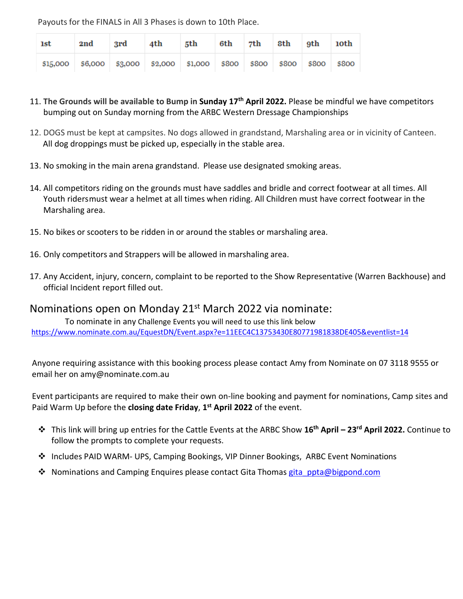Payouts for the FINALS in All 3 Phases is down to 10th Place.

| 1st      | 2nd | - 3rd | 4th                                                           | 5th 6th 7th 8th 9th 10th |  |       |       |
|----------|-----|-------|---------------------------------------------------------------|--------------------------|--|-------|-------|
| \$15,000 |     |       | \$6,000   \$3,000   \$2,000   \$1,000   \$800   \$800   \$800 |                          |  | \$800 | \$800 |

- 11. **The Grounds will be available to Bump in Sunday 17th April 2022.** Please be mindful we have competitors bumping out on Sunday morning from the ARBC Western Dressage Championships
- 12. DOGS must be kept at campsites. No dogs allowed in grandstand, Marshaling area or in vicinity of Canteen. All dog droppings must be picked up, especially in the stable area.
- 13. No smoking in the main arena grandstand. Please use designated smoking areas.
- 14. All competitors riding on the grounds must have saddles and bridle and correct footwear at all times. All Youth ridersmust wear a helmet at all times when riding. All Children must have correct footwear in the Marshaling area.
- 15. No bikes or scooters to be ridden in or around the stables or marshaling area.
- 16. Only competitors and Strappers will be allowed in marshaling area.
- 17. Any Accident, injury, concern, complaint to be reported to the Show Representative (Warren Backhouse) and official Incident report filled out.

## Nominations open on Monday 21<sup>st</sup> March 2022 via nominate:

To nominate in any Challenge Events you will need to use this link below <https://www.nominate.com.au/EquestDN/Event.aspx?e=11EEC4C13753430E80771981838DE405&eventlist=14>

Anyone requiring assistance with this booking process please contact Amy from Nominate on 07 3118 9555 or email her on [amy@nominate.com.au](mailto:amy@nominate.com.au)

Event participants are required to make their own on-line booking and payment for nominations, Camp sites and Paid Warm Up before the **closing date Friday**, **1st April 2022** of the event.

- This link will bring up entries for the Cattle Events at the ARBC Show **16th April – 23rd April 2022.** Continue to follow the prompts to complete your requests.
- **❖** Includes PAID WARM- UPS, Camping Bookings, VIP Dinner Bookings, ARBC Event Nominations
- ❖ Nominations and Camping Enquires please contact Gita Thomas gita ppta@bigpond.com